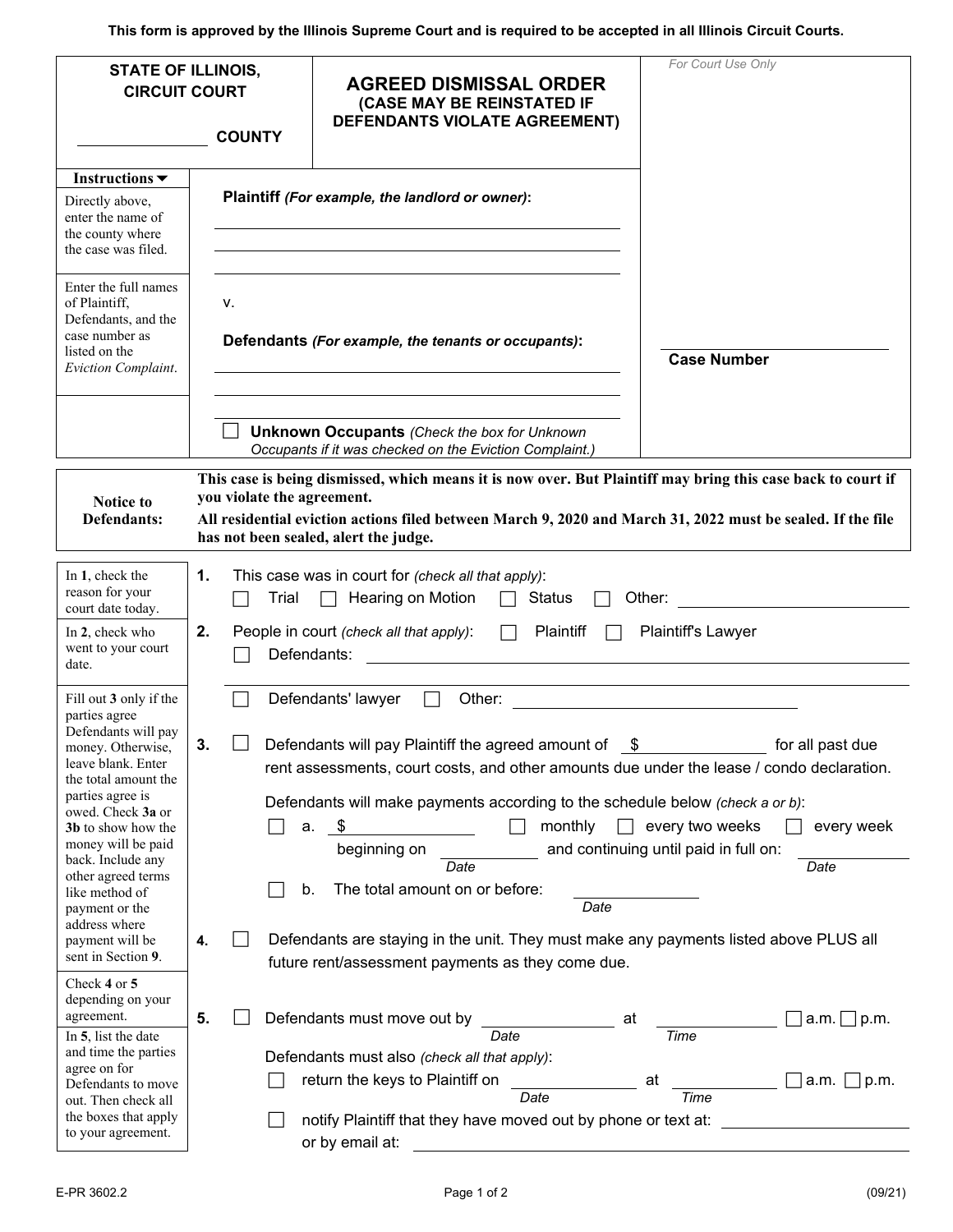**This form is approved by the Illinois Supreme Court and is required to be accepted in all Illinois Circuit Courts.** 

| <b>STATE OF ILLINOIS,</b><br><b>CIRCUIT COURT</b><br><b>COUNTY</b>                                                                                                                                                     |                                                                                                                                                                                                                                                                                                    |                                                                                                                                                                                                                                                                                                                                                                                                                                       | <b>AGREED DISMISSAL ORDER</b><br>(CASE MAY BE REINSTATED IF<br><b>DEFENDANTS VIOLATE AGREEMENT)</b>                                                                                  | For Court Use Only                            |  |  |  |  |  |  |  |
|------------------------------------------------------------------------------------------------------------------------------------------------------------------------------------------------------------------------|----------------------------------------------------------------------------------------------------------------------------------------------------------------------------------------------------------------------------------------------------------------------------------------------------|---------------------------------------------------------------------------------------------------------------------------------------------------------------------------------------------------------------------------------------------------------------------------------------------------------------------------------------------------------------------------------------------------------------------------------------|--------------------------------------------------------------------------------------------------------------------------------------------------------------------------------------|-----------------------------------------------|--|--|--|--|--|--|--|
| Instructions $\blacktriangledown$<br>Directly above,<br>enter the name of<br>the county where<br>the case was filed.                                                                                                   |                                                                                                                                                                                                                                                                                                    | Plaintiff (For example, the landlord or owner):                                                                                                                                                                                                                                                                                                                                                                                       |                                                                                                                                                                                      |                                               |  |  |  |  |  |  |  |
| Enter the full names<br>of Plaintiff,<br>Defendants, and the<br>case number as<br>listed on the<br>Eviction Complaint.                                                                                                 |                                                                                                                                                                                                                                                                                                    | ν.                                                                                                                                                                                                                                                                                                                                                                                                                                    | Defendants (For example, the tenants or occupants):                                                                                                                                  | <b>Case Number</b>                            |  |  |  |  |  |  |  |
|                                                                                                                                                                                                                        |                                                                                                                                                                                                                                                                                                    |                                                                                                                                                                                                                                                                                                                                                                                                                                       | <b>Unknown Occupants (Check the box for Unknown</b><br>Occupants if it was checked on the Eviction Complaint.)                                                                       |                                               |  |  |  |  |  |  |  |
| Notice to<br>Defendants:                                                                                                                                                                                               | This case is being dismissed, which means it is now over. But Plaintiff may bring this case back to court if<br>you violate the agreement.<br>All residential eviction actions filed between March 9, 2020 and March 31, 2022 must be sealed. If the file<br>has not been sealed, alert the judge. |                                                                                                                                                                                                                                                                                                                                                                                                                                       |                                                                                                                                                                                      |                                               |  |  |  |  |  |  |  |
| In 1, check the<br>reason for your<br>court date today.                                                                                                                                                                | 1.                                                                                                                                                                                                                                                                                                 | Trial                                                                                                                                                                                                                                                                                                                                                                                                                                 | This case was in court for (check all that apply):<br>Hearing on Motion<br>Status                                                                                                    | Other:                                        |  |  |  |  |  |  |  |
| In 2, check who<br>went to your court<br>date.                                                                                                                                                                         | 2.                                                                                                                                                                                                                                                                                                 | Plaintiff's Lawyer<br>People in court (check all that apply):<br>Plaintiff<br>$\Box$<br>Defendants:                                                                                                                                                                                                                                                                                                                                   |                                                                                                                                                                                      |                                               |  |  |  |  |  |  |  |
| Fill out 3 only if the<br>parties agree<br>Defendants will pay<br>money. Otherwise,<br>leave blank. Enter<br>the total amount the<br>parties agree is<br>owed. Check 3a or<br>3b to show how the<br>money will be paid | 3.                                                                                                                                                                                                                                                                                                 | Defendants' lawyer<br>Other: <u>____________________</u><br>Defendants will pay Plaintiff the agreed amount of<br>for all past due<br>rent assessments, court costs, and other amounts due under the lease / condo declaration.<br>Defendants will make payments according to the schedule below (check a or b):<br>monthly $\Box$ every two weeks<br>every week<br>S.<br>a.<br>and continuing until paid in full on:<br>beginning on |                                                                                                                                                                                      |                                               |  |  |  |  |  |  |  |
| back. Include any<br>other agreed terms<br>like method of<br>payment or the<br>address where<br>payment will be                                                                                                        | 4.                                                                                                                                                                                                                                                                                                 | b.                                                                                                                                                                                                                                                                                                                                                                                                                                    | Date<br>The total amount on or before:<br>Date<br>Defendants are staying in the unit. They must make any payments listed above PLUS all                                              | Date                                          |  |  |  |  |  |  |  |
| sent in Section 9.<br>Check 4 or 5<br>depending on your<br>agreement.                                                                                                                                                  | 5.                                                                                                                                                                                                                                                                                                 |                                                                                                                                                                                                                                                                                                                                                                                                                                       | future rent/assessment payments as they come due.<br>Defendants must move out by                                                                                                     | p.m.<br>at                                    |  |  |  |  |  |  |  |
| In 5, list the date<br>and time the parties<br>agree on for<br>Defendants to move<br>out. Then check all<br>the boxes that apply<br>to your agreement.                                                                 |                                                                                                                                                                                                                                                                                                    |                                                                                                                                                                                                                                                                                                                                                                                                                                       | Date<br>Defendants must also (check all that apply):<br>return the keys to Plaintiff on<br>Date<br>notify Plaintiff that they have moved out by phone or text at:<br>or by email at: | Time<br>$\Box$ a.m. $\Box$ p.m.<br>at<br>Time |  |  |  |  |  |  |  |